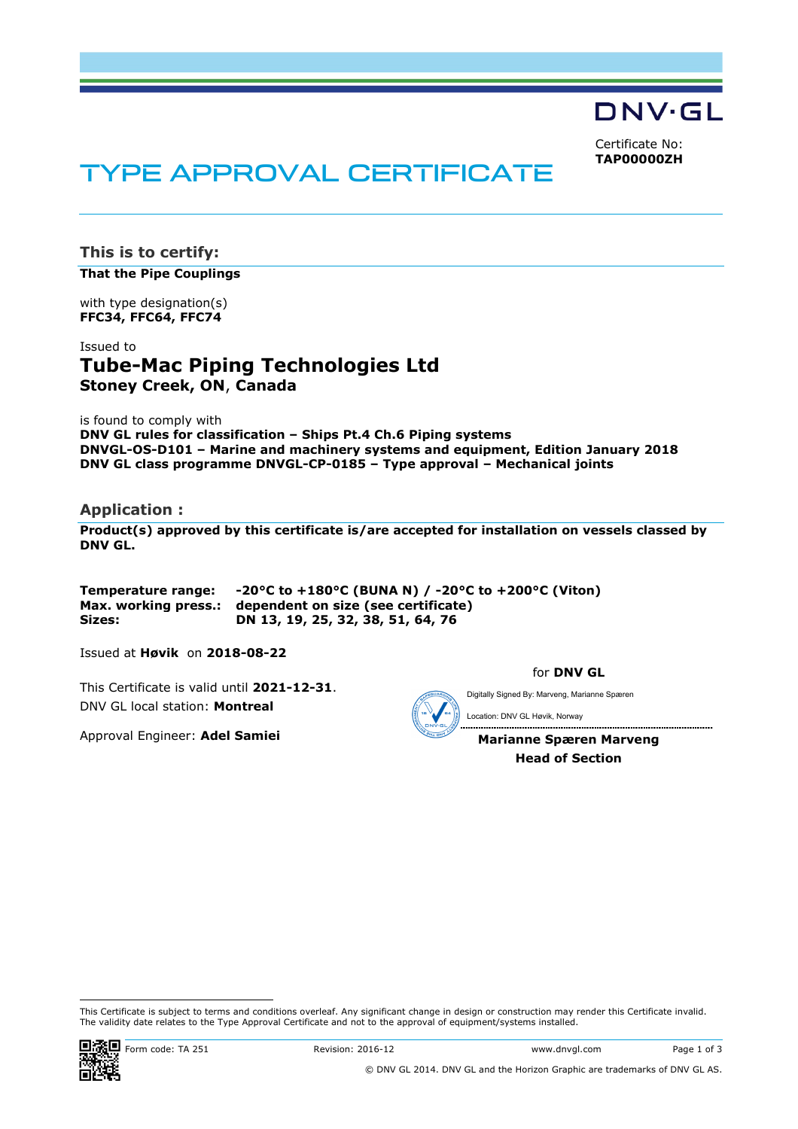DNV·GL

Certificate No: **TAP00000ZH**

# TYPE APPROVAL CERTIFICATE

**This is to certify:** 

**That the Pipe Couplings**

with type designation(s) **FFC34, FFC64, FFC74**

Issued to **Tube-Mac Piping Technologies Ltd Stoney Creek, ON**, **Canada** 

is found to comply with

**DNV GL rules for classification – Ships Pt.4 Ch.6 Piping systems DNVGL-OS-D101 – Marine and machinery systems and equipment, Edition January 2018 DNV GL class programme DNVGL-CP-0185 – Type approval – Mechanical joints** 

# **Application :**

**Product(s) approved by this certificate is/are accepted for installation on vessels classed by DNV GL.** 

**Temperature range: -20°C to +180°C (BUNA N) / -20°C to +200°C (Viton) Max. working press.: dependent on size (see certificate) Sizes: DN 13, 19, 25, 32, 38, 51, 64, 76** 

Issued at **Høvik** on **2018-08-22**

This Certificate is valid until **2021-12-31**. DNV GL local station: **Montreal**

Approval Engineer: **Adel Samiei**

for **DNV GL**

Digitally Signed By: Marveng, Marianne Spæren

.................................

Location: DNV GL Høvik, Norway

**Marianne Spæren Marveng Head of Section** 

......................................

 This Certificate is subject to terms and conditions overleaf. Any significant change in design or construction may render this Certificate invalid. The validity date relates to the Type Approval Certificate and not to the approval of equipment/systems installed.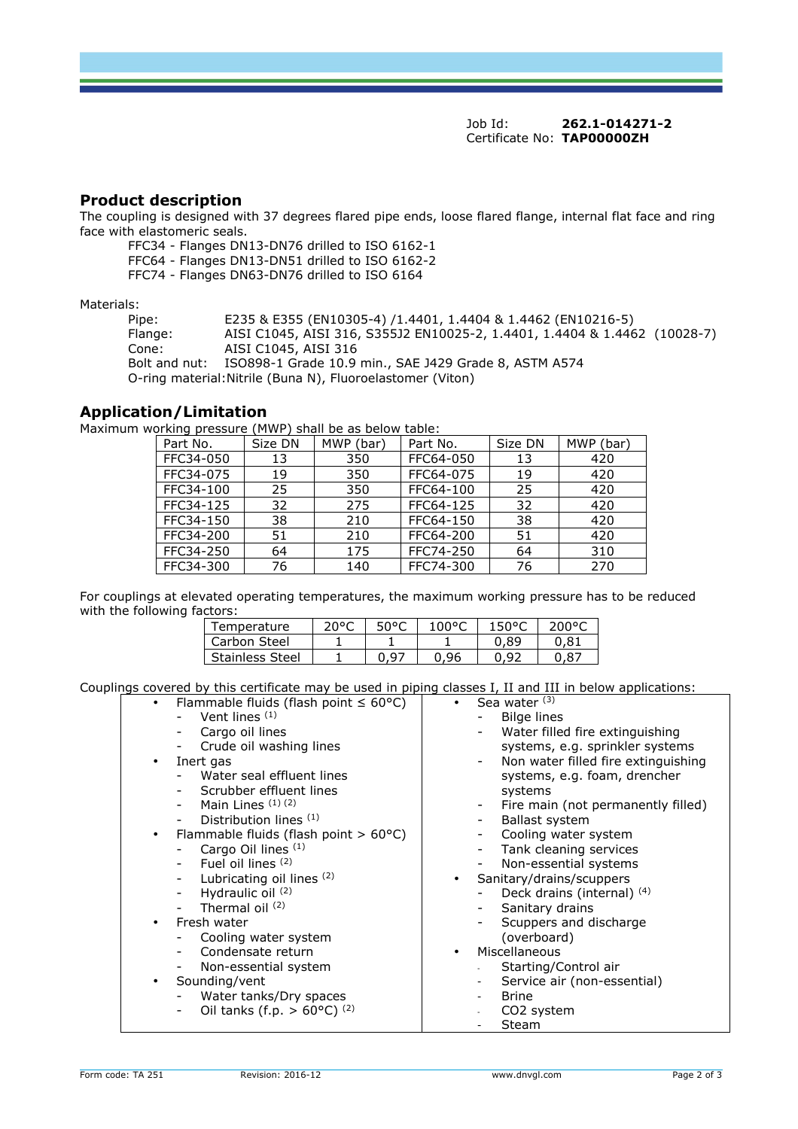Job Id: **262.1-014271-2**  Certificate No: **TAP00000ZH**

# **Product description**

The coupling is designed with 37 degrees flared pipe ends, loose flared flange, internal flat face and ring face with elastomeric seals.

FFC34 - Flanges DN13-DN76 drilled to ISO 6162-1

FFC64 - Flanges DN13-DN51 drilled to ISO 6162-2

FFC74 - Flanges DN63-DN76 drilled to ISO 6164

Materials:

Pipe: E235 & E355 (EN10305-4) /1.4401, 1.4404 & 1.4462 (EN10216-5) Flange: AISI C1045, AISI 316, S355J2 EN10025-2, 1.4401, 1.4404 & 1.4462 (10028-7) Cone: AISI C1045, AISI 316 Bolt and nut: ISO898-1 Grade 10.9 min., SAE J429 Grade 8, ASTM A574 O-ring material:Nitrile (Buna N), Fluoroelastomer (Viton)

# **Application/Limitation**

Maximum working pressure (MWP) shall be as below table:

| Part No.  | Size DN | MWP (bar) | Part No.  | Size DN | MWP (bar) |
|-----------|---------|-----------|-----------|---------|-----------|
| FFC34-050 | 13      | 350       | FFC64-050 | 13      | 420       |
| FFC34-075 | 19      | 350       | FFC64-075 | 19      | 420       |
| FFC34-100 | 25      | 350       | FFC64-100 | 25      | 420       |
| FFC34-125 | 32      | 275       | FFC64-125 | 32      | 420       |
| FFC34-150 | 38      | 210       | FFC64-150 | 38      | 420       |
| FFC34-200 | 51      | 210       | FFC64-200 | 51      | 420       |
| FFC34-250 | 64      | 175       | FFC74-250 | 64      | 310       |
| FFC34-300 | 76      | 140       | FFC74-300 | 76      | 270       |

For couplings at elevated operating temperatures, the maximum working pressure has to be reduced with the following factors:

| lemperature            | مەمد | 50°C | uuu <sub>u</sub> u |     | ے ہمہ |
|------------------------|------|------|--------------------|-----|-------|
| Carbon Steel           |      |      |                    | 89  | -81   |
| <b>Stainless Steel</b> |      | 07 ۱ | 96,                | -97 | 0.87  |

Couplings covered by this certificate may be used in piping classes I, II and III in below applications:

| Flammable fluids (flash point $\leq 60^{\circ}$ C)<br>$\bullet$ | Sea water (3)                             |
|-----------------------------------------------------------------|-------------------------------------------|
| Vent lines $(1)$                                                | Bilge lines                               |
| Cargo oil lines                                                 | Water filled fire extinguishing           |
| Crude oil washing lines                                         | systems, e.g. sprinkler systems           |
| Inert gas                                                       | Non water filled fire extinguishing<br>-  |
| Water seal effluent lines                                       | systems, e.g. foam, drencher              |
| Scrubber effluent lines                                         | systems                                   |
| Main Lines (1)(2)                                               | Fire main (not permanently filled)<br>$-$ |
| Distribution lines (1)                                          | <b>Ballast system</b>                     |
| Flammable fluids (flash point $> 60^{\circ}$ C)                 | Cooling water system                      |
| Cargo Oil lines (1)                                             | Tank cleaning services                    |
| Fuel oil lines (2)                                              | Non-essential systems                     |
| Lubricating oil lines (2)                                       | Sanitary/drains/scuppers<br>$\bullet$     |
| Hydraulic oil (2)                                               | Deck drains (internal) (4)                |
| Thermal oil $(2)$                                               | Sanitary drains                           |
| Fresh water                                                     | Scuppers and discharge                    |
| Cooling water system                                            | (overboard)                               |
| Condensate return                                               | Miscellaneous<br>$\bullet$                |
| Non-essential system                                            | Starting/Control air                      |
| Sounding/vent                                                   | Service air (non-essential)               |
| Water tanks/Dry spaces                                          | <b>Brine</b>                              |
| Oil tanks (f.p. $> 60^{\circ}$ C) (2)<br>$\qquad \qquad -$      | CO <sub>2</sub> system                    |
|                                                                 | Steam                                     |